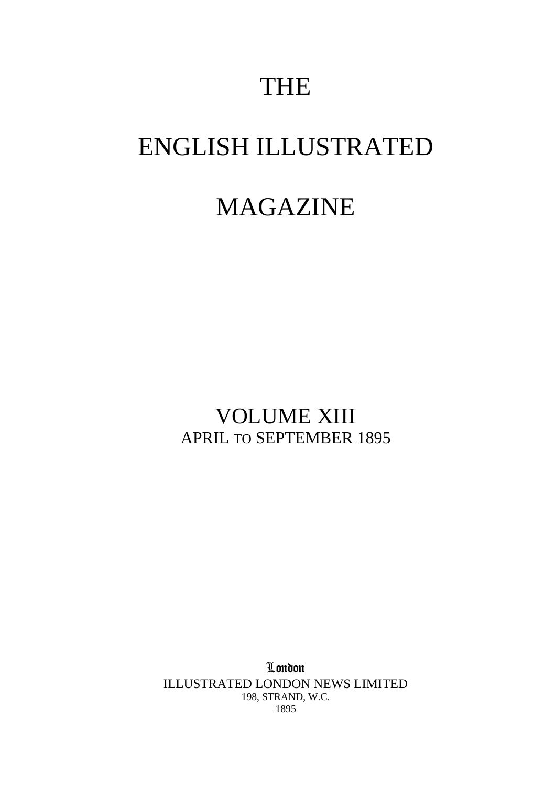# THE

# ENGLISH ILLUSTRATED

## MAGAZINE

### VOLUME XIII APRIL TO SEPTEMBER 1895

London ILLUSTRATED LONDON NEWS LIMITED 198, STRAND, W.C. 1895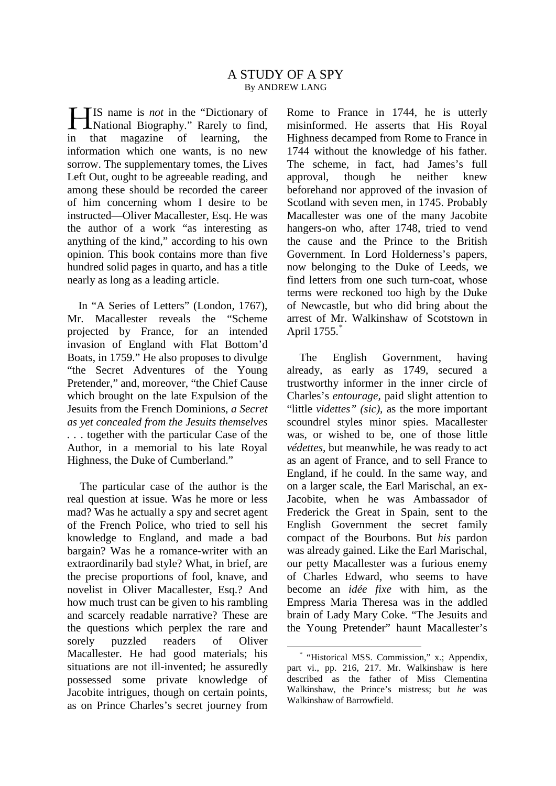IS name is *not* in the "Dictionary of National Biography." Rarely to find, in that magazine of learning, the information which one wants, is no new sorrow. The supplementary tomes, the Lives Left Out, ought to be agreeable reading, and among these should be recorded the career of him concerning whom I desire to be instructed—Oliver Macallester, Esq. He was the author of a work "as interesting as anything of the kind," according to his own opinion. This book contains more than five hundred solid pages in quarto, and has a title nearly as long as a leading article. H

In "A Series of Letters" (London, 1767), r. Macallester reveals the "Scheme" Mr. Macallester reveals the projected by France, for an intended invasion of England with Flat Bottom'd Boats, in 1759." He also proposes to divulge "the Secret Adventures of the Young Pretender," and, moreover, "the Chief Cause which brought on the late Expulsion of the Jesuits from the French Dominions, *a Secret as yet concealed from the Jesuits themselves . .* . together with the particular Case of the Author, in a memorial to his late Royal Highness, the Duke of Cumberland."

<span id="page-1-0"></span>The particular case of the author is the real question at issue. Was he more or less mad? Was he actually a spy and secret agent of the French Police, who tried to sell his knowledge to England, and made a bad bargain? Was he a romance-writer with an extraordinarily bad style? What, in brief, are the precise proportions of fool, knave, and novelist in Oliver Macallester, Esq.? And how much trust can be given to his rambling and scarcely readable narrative? These are the questions which perplex the rare and sorely puzzled readers of Oliver Macallester. He had good materials; his situations are not ill-invented; he assuredly possessed some private knowledge of Jacobite intrigues, though on certain points, as on Prince Charles's secret journey from

Rome to France in 1744, he is utterly misinformed. He asserts that His Royal Highness decamped from Rome to France in 1744 without the knowledge of his father. The scheme, in fact, had James's full approval, though he neither knew beforehand nor approved of the invasion of Scotland with seven men, in 1745. Probably Macallester was one of the many Jacobite hangers-on who, after 1748, tried to vend the cause and the Prince to the British Government. In Lord Holderness's papers, now belonging to the Duke of Leeds, we find letters from one such turn-coat, whose terms were reckoned too high by the Duke of Newcastle, but who did bring about the arrest of Mr. Walkinshaw of Scotstown in April 1755.<sup>[\\*](#page-1-0)</sup>

The English Government, having already, as early as 1749, secured a trustworthy informer in the inner circle of Charles's *entourage,* paid slight attention to "little *videttes" (sic),* as the more important scoundrel styles minor spies. Macallester was, or wished to be, one of those little *védettes,* but meanwhile, he was ready to act as an agent of France, and to sell France to England, if he could. In the same way, and on a larger scale, the Earl Marischal, an ex-Jacobite, when he was Ambassador of Frederick the Great in Spain, sent to the English Government the secret family compact of the Bourbons. But *his* pardon was already gained. Like the Earl Marischal, our petty Macallester was a furious enemy of Charles Edward, who seems to have become an *idée fixe* with him, as the Empress Maria Theresa was in the addled brain of Lady Mary Coke. "The Jesuits and the Young Pretender" haunt Macallester's

\* "Historical MSS. Commission," x.; Appendix, part vi., pp. 216, 217. Mr. Walkinshaw is here described as the father of Miss Clementina Walkinshaw, the Prince's mistress; but *he* was Walkinshaw of Barrowfield.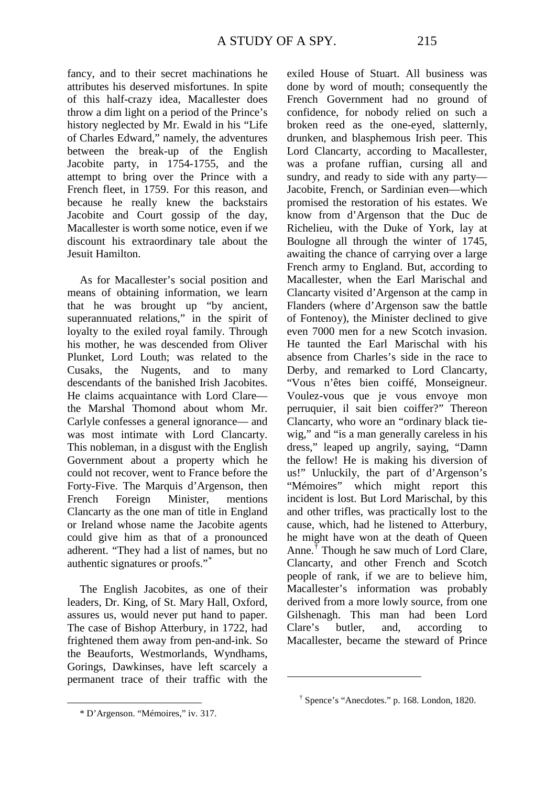fancy, and to their secret machinations he attributes his deserved misfortunes. In spite of this half-crazy idea, Macallester does throw a dim light on a period of the Prince's history neglected by Mr. Ewald in his "Life of Charles Edward," namely, the adventures between the break-up of the English Jacobite party, in 1754-1755, and the attempt to bring over the Prince with a French fleet, in 1759. For this reason, and because he really knew the backstairs Jacobite and Court gossip of the day, Macallester is worth some notice, even if we discount his extraordinary tale about the Jesuit Hamilton.

As for Macallester's social position and means of obtaining information, we learn that he was brought up "by ancient, superannuated relations," in the spirit of loyalty to the exiled royal family. Through his mother, he was descended from Oliver Plunket, Lord Louth; was related to the Cusaks, the Nugents, and to many descendants of the banished Irish Jacobites. He claims acquaintance with Lord Clare the Marshal Thomond about whom Mr. Carlyle confesses a general ignorance— and was most intimate with Lord Clancarty. This nobleman, in a disgust with the English Government about a property which he could not recover, went to France before the Forty-Five. The Marquis d'Argenson, then French Foreign Minister, mentions Clancarty as the one man of title in England or Ireland whose name the Jacobite agents could give him as that of a pronounced adherent. "They had a list of names, but no authentic signatures or proofs."[\\*](#page-2-0)

The English Jacobites, as one of their leaders, Dr. King, of St. Mary Hall, Oxford, assures us, would never put hand to paper. The case of Bishop Atterbury, in 1722, had frightened them away from pen-and-ink. So the Beauforts, Westmorlands, Wyndhams, Gorings, Dawkinses, have left scarcely a permanent trace of their traffic with the exiled House of Stuart. All business was done by word of mouth; consequently the French Government had no ground of confidence, for nobody relied on such a broken reed as the one-eyed, slatternly, drunken, and blasphemous Irish peer. This Lord Clancarty, according to Macallester, was a profane ruffian, cursing all and sundry, and ready to side with any party— Jacobite, French, or Sardinian even—which promised the restoration of his estates. We know from d'Argenson that the Duc de Richelieu, with the Duke of York, lay at Boulogne all through the winter of 1745, awaiting the chance of carrying over a large French army to England. But, according to Macallester, when the Earl Marischal and Clancarty visited d'Argenson at the camp in Flanders (where d'Argenson saw the battle of Fontenoy), the Minister declined to give even 7000 men for a new Scotch invasion. He taunted the Earl Marischal with his absence from Charles's side in the race to Derby, and remarked to Lord Clancarty, "Vous n'êtes bien coiffé, Monseigneur. Voulez-vous que je vous envoye mon perruquier, il sait bien coiffer?" Thereon Clancarty, who wore an "ordinary black tiewig," and "is a man generally careless in his dress," leaped up angrily, saying, "Damn the fellow! He is making his diversion of us!" Unluckily, the part of d'Argenson's "Mémoires" which might report this incident is lost. But Lord Marischal, by this and other trifles, was practically lost to the cause, which, had he listened to Atterbury, he might have won at the death of Queen Anne.[†](#page-2-1) Though he saw much of Lord Clare, Clancarty, and other French and Scotch people of rank, if we are to believe him, Macallester's information was probably derived from a more lowly source, from one Gilshenagh. This man had been Lord Clare's butler, and, according to Macallester, became the steward of Prince

 $\overline{a}$ 

<span id="page-2-1"></span><span id="page-2-0"></span>1

<sup>†</sup> Spence's "Anecdotes." p. 168. London, 1820.

<sup>\*</sup> D'Argenson. "Mémoires," iv. 317.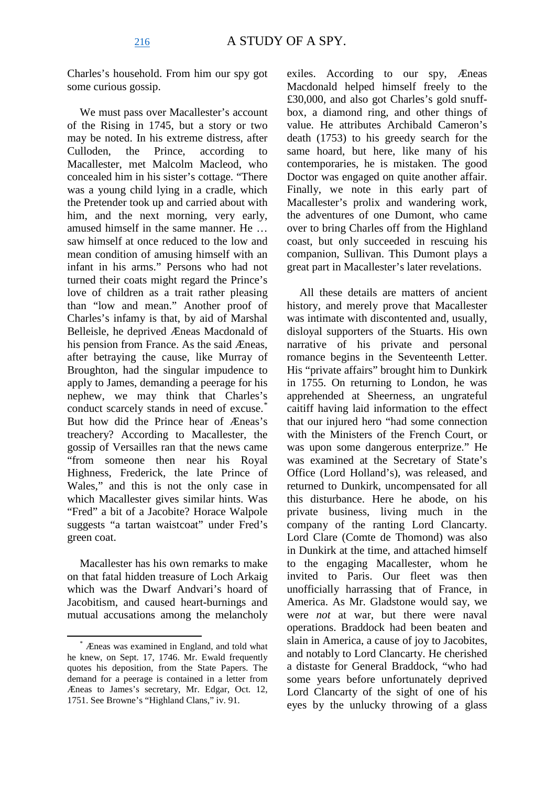Charles's household. From him our spy got some curious gossip.

We must pass over Macallester's account of the Rising in 1745, but a story or two may be noted. In his extreme distress, after Culloden, the Prince, according to Macallester, met Malcolm Macleod, who concealed him in his sister's cottage. "There was a young child lying in a cradle, which the Pretender took up and carried about with him, and the next morning, very early, amused himself in the same manner. He … saw himself at once reduced to the low and mean condition of amusing himself with an infant in his arms." Persons who had not turned their coats might regard the Prince's love of children as a trait rather pleasing than "low and mean." Another proof of Charles's infamy is that, by aid of Marshal Belleisle, he deprived Æneas Macdonald of his pension from France. As the said Æneas, after betraying the cause, like Murray of Broughton, had the singular impudence to apply to James, demanding a peerage for his nephew, we may think that Charles's conduct scarcely stands in need of excuse.<sup>[\\*](#page-3-0)</sup> But how did the Prince hear of Æneas's treachery? According to Macallester, the gossip of Versailles ran that the news came "from someone then near his Royal Highness, Frederick, the late Prince of Wales," and this is not the only case in which Macallester gives similar hints. Was "Fred" a bit of a Jacobite? Horace Walpole suggests "a tartan waistcoat" under Fred's green coat.

Macallester has his own remarks to make on that fatal hidden treasure of Loch Arkaig which was the Dwarf Andvari's hoard of Jacobitism, and caused heart-burnings and mutual accusations among the melancholy

exiles. According to our spy, Æneas Macdonald helped himself freely to the £30,000, and also got Charles's gold snuffbox, a diamond ring, and other things of value. He attributes Archibald Cameron's death (1753) to his greedy search for the same hoard, but here, like many of his contemporaries, he is mistaken. The good Doctor was engaged on quite another affair. Finally, we note in this early part of Macallester's prolix and wandering work, the adventures of one Dumont, who came over to bring Charles off from the Highland coast, but only succeeded in rescuing his companion, Sullivan. This Dumont plays a great part in Macallester's later revelations.

All these details are matters of ancient history, and merely prove that Macallester was intimate with discontented and, usually, disloyal supporters of the Stuarts. His own narrative of his private and personal romance begins in the Seventeenth Letter. His "private affairs" brought him to Dunkirk in 1755. On returning to London, he was apprehended at Sheerness, an ungrateful caitiff having laid information to the effect that our injured hero "had some connection with the Ministers of the French Court, or was upon some dangerous enterprize." He was examined at the Secretary of State's Office (Lord Holland's), was released, and returned to Dunkirk, uncompensated for all this disturbance. Here he abode, on his private business, living much in the company of the ranting Lord Clancarty. Lord Clare (Comte de Thomond) was also in Dunkirk at the time, and attached himself to the engaging Macallester, whom he invited to Paris. Our fleet was then unofficially harrassing that of France, in America. As Mr. Gladstone would say, we were *not* at war, but there were naval operations. Braddock had been beaten and slain in America, a cause of joy to Jacobites, and notably to Lord Clancarty. He cherished a distaste for General Braddock, "who had some years before unfortunately deprived Lord Clancarty of the sight of one of his eyes by the unlucky throwing of a glass

<span id="page-3-0"></span>\* Æneas was examined in England, and told what he knew, on Sept. 17, 1746. Mr. Ewald frequently quotes his deposition, from the State Papers. The demand for a peerage is contained in a letter from Æneas to James's secretary, Mr. Edgar, Oct. 12, 1751. See Browne's "Highland Clans," iv. 91.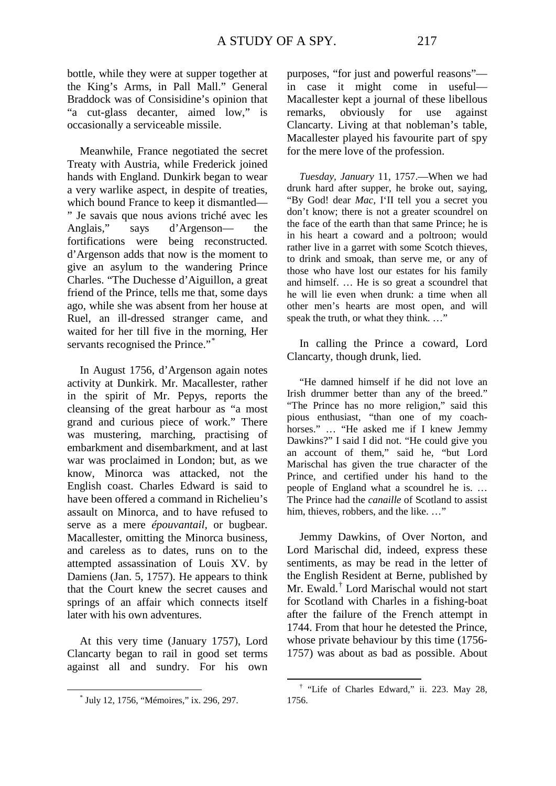bottle, while they were at supper together at the King's Arms, in Pall Mall." General Braddock was of Consisidine's opinion that "a cut-glass decanter, aimed low," is occasionally a serviceable missile.

Meanwhile, France negotiated the secret Treaty with Austria, while Frederick joined hands with England. Dunkirk began to wear a very warlike aspect, in despite of treaties, which bound France to keep it dismantled— " Je savais que nous avions triché avec les Anglais," says d'Argenson— the fortifications were being reconstructed. d'Argenson adds that now is the moment to give an asylum to the wandering Prince Charles. "The Duchesse d'Aiguillon, a great friend of the Prince, tells me that, some days ago, while she was absent from her house at Ruel, an ill-dressed stranger came, and waited for her till five in the morning, Her servants recognised the Prince."[\\*](#page-4-0)

In August 1756, d'Argenson again notes activity at Dunkirk. Mr. Macallester, rather in the spirit of Mr. Pepys, reports the cleansing of the great harbour as "a most grand and curious piece of work." There was mustering, marching, practising of embarkment and disembarkment, and at last war was proclaimed in London; but, as we know, Minorca was attacked, not the English coast. Charles Edward is said to have been offered a command in Richelieu's assault on Minorca, and to have refused to serve as a mere *épouvantail,* or bugbear. Macallester, omitting the Minorca business, and careless as to dates, runs on to the attempted assassination of Louis XV. by Damiens (Jan. 5, 1757). He appears to think that the Court knew the secret causes and springs of an affair which connects itself later with his own adventures.

At this very time (January 1757), Lord Clancarty began to rail in good set terms against all and sundry. For his own purposes, "for just and powerful reasons" in case it might come in useful— Macallester kept a journal of these libellous remarks, obviously for use against Clancarty. Living at that nobleman's table, Macallester played his favourite part of spy for the mere love of the profession.

*Tuesday, January* 11, 1757.—When we had drunk hard after supper, he broke out, saying, "By God! dear *Mac,* I'II tell you a secret you don't know; there is not a greater scoundrel on the face of the earth than that same Prince; he is in his heart a coward and a poltroon; would rather live in a garret with some Scotch thieves, to drink and smoak, than serve me, or any of those who have lost our estates for his family and himself. … He is so great a scoundrel that he will lie even when drunk: a time when all other men's hearts are most open, and will speak the truth, or what they think. ..."

In calling the Prince a coward, Lord Clancarty, though drunk, lied.

"He damned himself if he did not love an Irish drummer better than any of the breed." "The Prince has no more religion," said this pious enthusiast, "than one of my coachhorses." … "He asked me if I knew Jemmy Dawkins?" I said I did not. "He could give you an account of them," said he, "but Lord Marischal has given the true character of the Prince, and certified under his hand to the people of England what a scoundrel he is. … The Prince had the *canaille* of Scotland to assist him, thieves, robbers, and the like. …"

Jemmy Dawkins, of Over Norton, and Lord Marischal did, indeed, express these sentiments, as may be read in the letter of the English Resident at Berne, published by Mr. Ewald.<sup>[†](#page-4-1)</sup> Lord Marischal would not start for Scotland with Charles in a fishing-boat after the failure of the French attempt in 1744. From that hour he detested the Prince, whose private behaviour by this time (1756- 1757) was about as bad as possible. About

<span id="page-4-1"></span><span id="page-4-0"></span>\* July 12, 1756, "Mémoires," ix. 296, 297.

† "Life of Charles Edward," ii. 223. May 28, 1756.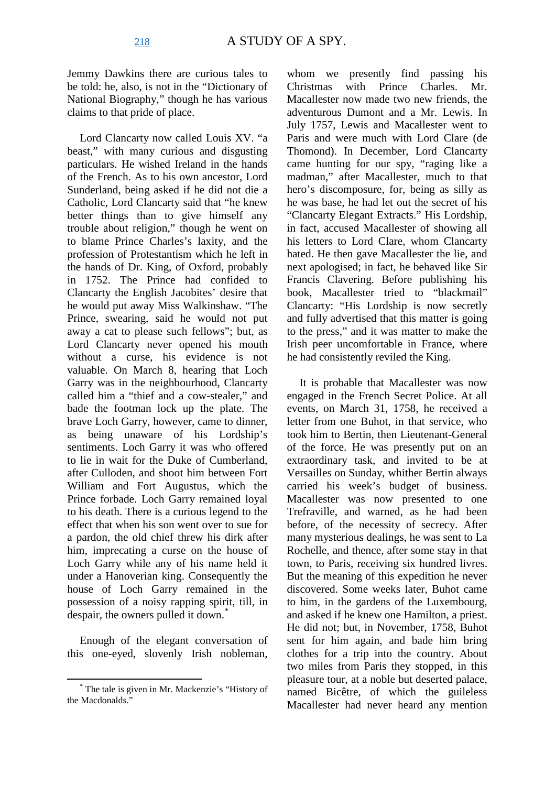Jemmy Dawkins there are curious tales to be told: he, also, is not in the "Dictionary of National Biography," though he has various claims to that pride of place.

Lord Clancarty now called Louis XV. "a beast," with many curious and disgusting particulars. He wished Ireland in the hands of the French. As to his own ancestor, Lord Sunderland, being asked if he did not die a Catholic, Lord Clancarty said that "he knew better things than to give himself any trouble about religion," though he went on to blame Prince Charles's laxity, and the profession of Protestantism which he left in the hands of Dr. King, of Oxford, probably in 1752. The Prince had confided to Clancarty the English Jacobites' desire that he would put away Miss Walkinshaw. "The Prince, swearing, said he would not put away a cat to please such fellows"; but, as Lord Clancarty never opened his mouth without a curse, his evidence is not valuable. On March 8, hearing that Loch Garry was in the neighbourhood, Clancarty called him a "thief and a cow-stealer," and bade the footman lock up the plate. The brave Loch Garry, however, came to dinner, as being unaware of his Lordship's sentiments. Loch Garry it was who offered to lie in wait for the Duke of Cumberland, after Culloden, and shoot him between Fort William and Fort Augustus, which the Prince forbade. Loch Garry remained loyal to his death. There is a curious legend to the effect that when his son went over to sue for a pardon, the old chief threw his dirk after him, imprecating a curse on the house of Loch Garry while any of his name held it under a Hanoverian king. Consequently the house of Loch Garry remained in the possession of a noisy rapping spirit, till, in despair, the owners pulled it down.<sup>[\\*](#page-5-0)</sup>

Enough of the elegant conversation of this one-eyed, slovenly Irish nobleman,

whom we presently find passing his Christmas with Prince Charles. Mr. Macallester now made two new friends, the adventurous Dumont and a Mr. Lewis. In July 1757, Lewis and Macallester went to Paris and were much with Lord Clare (de Thomond). In December, Lord Clancarty came hunting for our spy, "raging like a madman," after Macallester, much to that hero's discomposure, for, being as silly as he was base, he had let out the secret of his "Clancarty Elegant Extracts." His Lordship, in fact, accused Macallester of showing all his letters to Lord Clare, whom Clancarty hated. He then gave Macallester the lie, and next apologised; in fact, he behaved like Sir Francis Clavering. Before publishing his book, Macallester tried to "blackmail" Clancarty: "His Lordship is now secretly and fully advertised that this matter is going to the press," and it was matter to make the Irish peer uncomfortable in France, where he had consistently reviled the King.

It is probable that Macallester was now engaged in the French Secret Police. At all events, on March 31, 1758, he received a letter from one Buhot, in that service, who took him to Bertin, then Lieutenant-General of the force. He was presently put on an extraordinary task, and invited to be at Versailles on Sunday, whither Bertin always carried his week's budget of business. Macallester was now presented to one Trefraville, and warned, as he had been before, of the necessity of secrecy. After many mysterious dealings, he was sent to La Rochelle, and thence, after some stay in that town, to Paris, receiving six hundred livres. But the meaning of this expedition he never discovered. Some weeks later, Buhot came to him, in the gardens of the Luxembourg, and asked if he knew one Hamilton, a priest. He did not; but, in November, 1758, Buhot sent for him again, and bade him bring clothes for a trip into the country. About two miles from Paris they stopped, in this pleasure tour, at a noble but deserted palace, named Bicêtre, of which the guileless Macallester had never heard any mention

<span id="page-5-0"></span>\* The tale is given in Mr. Mackenzie's "History of the Macdonalds."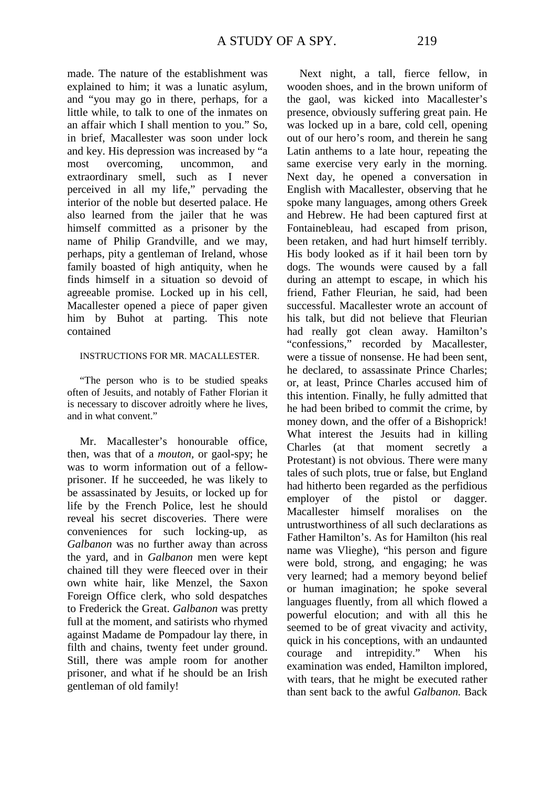made. The nature of the establishment was explained to him; it was a lunatic asylum, and "you may go in there, perhaps, for a little while, to talk to one of the inmates on an affair which I shall mention to you." So, in brief, Macallester was soon under lock and key. His depression was increased by "a most overcoming, uncommon, and extraordinary smell, such as I never perceived in all my life," pervading the interior of the noble but deserted palace. He also learned from the jailer that he was himself committed as a prisoner by the name of Philip Grandville, and we may, perhaps, pity a gentleman of Ireland, whose family boasted of high antiquity, when he finds himself in a situation so devoid of agreeable promise. Locked up in his cell, Macallester opened a piece of paper given him by Buhot at parting. This note contained

#### INSTRUCTIONS FOR MR. MACALLESTER.

"The person who is to be studied speaks often of Jesuits, and notably of Father Florian it is necessary to discover adroitly where he lives, and in what convent."

Mr. Macallester's honourable office, then, was that of a *mouton,* or gaol-spy; he was to worm information out of a fellowprisoner. If he succeeded, he was likely to be assassinated by Jesuits, or locked up for life by the French Police, lest he should reveal his secret discoveries. There were conveniences for such locking-up, as *Galbanon* was no further away than across the yard, and in *Galbanon* men were kept chained till they were fleeced over in their own white hair, like Menzel, the Saxon Foreign Office clerk, who sold despatches to Frederick the Great. *Galbanon* was pretty full at the moment, and satirists who rhymed against Madame de Pompadour lay there, in filth and chains, twenty feet under ground. Still, there was ample room for another prisoner, and what if he should be an Irish gentleman of old family!

Next night, a tall, fierce fellow, in wooden shoes, and in the brown uniform of the gaol, was kicked into Macallester's presence, obviously suffering great pain. He was locked up in a bare, cold cell, opening out of our hero's room, and therein he sang Latin anthems to a late hour, repeating the same exercise very early in the morning. Next day, he opened a conversation in English with Macallester, observing that he spoke many languages, among others Greek and Hebrew. He had been captured first at Fontainebleau, had escaped from prison, been retaken, and had hurt himself terribly. His body looked as if it hail been torn by dogs. The wounds were caused by a fall during an attempt to escape, in which his friend, Father Fleurian, he said, had been successful. Macallester wrote an account of his talk, but did not believe that Fleurian had really got clean away. Hamilton's "confessions," recorded by Macallester, were a tissue of nonsense. He had been sent, he declared, to assassinate Prince Charles; or, at least, Prince Charles accused him of this intention. Finally, he fully admitted that he had been bribed to commit the crime, by money down, and the offer of a Bishoprick! What interest the Jesuits had in killing Charles (at that moment secretly a Protestant) is not obvious. There were many tales of such plots, true or false, but England had hitherto been regarded as the perfidious employer of the pistol or dagger. Macallester himself moralises on the untrustworthiness of all such declarations as Father Hamilton's. As for Hamilton (his real name was Vlieghe), "his person and figure were bold, strong, and engaging; he was very learned; had a memory beyond belief or human imagination; he spoke several languages fluently, from all which flowed a powerful elocution; and with all this he seemed to be of great vivacity and activity, quick in his conceptions, with an undaunted courage and intrepidity." When his examination was ended, Hamilton implored, with tears, that he might be executed rather than sent back to the awful *Galbanon.* Back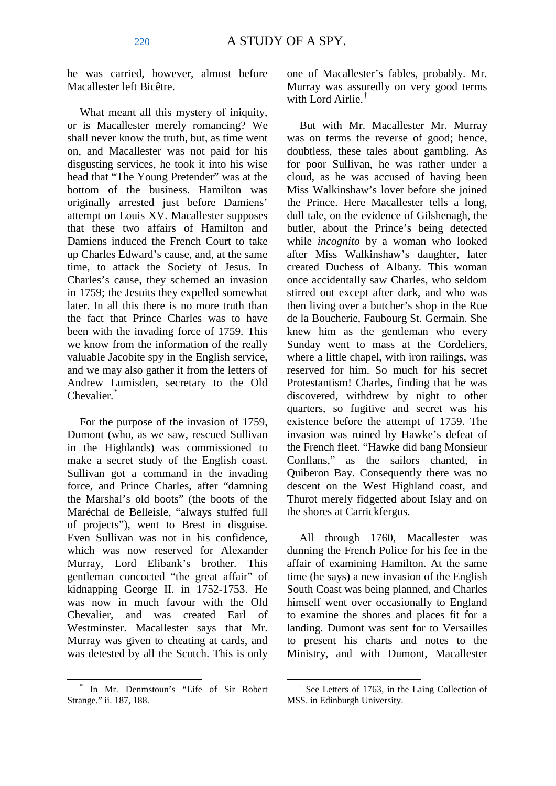he was carried, however, almost before Macallester left Bicêtre.

What meant all this mystery of iniquity, or is Macallester merely romancing? We shall never know the truth, but, as time went on, and Macallester was not paid for his disgusting services, he took it into his wise head that "The Young Pretender" was at the bottom of the business. Hamilton was originally arrested just before Damiens' attempt on Louis XV. Macallester supposes that these two affairs of Hamilton and Damiens induced the French Court to take up Charles Edward's cause, and, at the same time, to attack the Society of Jesus. In Charles's cause, they schemed an invasion in 1759; the Jesuits they expelled somewhat later. In all this there is no more truth than the fact that Prince Charles was to have been with the invading force of 1759. This we know from the information of the really valuable Jacobite spy in the English service, and we may also gather it from the letters of Andrew Lumisden, secretary to the Old Chevalier.<sup>[\\*](#page-7-0)</sup>

For the purpose of the invasion of 1759, Dumont (who, as we saw, rescued Sullivan in the Highlands) was commissioned to make a secret study of the English coast. Sullivan got a command in the invading force, and Prince Charles, after "damning the Marshal's old boots" (the boots of the Maréchal de Belleisle, "always stuffed full of projects"), went to Brest in disguise. Even Sullivan was not in his confidence, which was now reserved for Alexander Murray, Lord Elibank's brother. This gentleman concocted "the great affair" of kidnapping George II. in 1752-1753. He was now in much favour with the Old Chevalier, and was created Earl of Westminster. Macallester says that Mr. Murray was given to cheating at cards, and was detested by all the Scotch. This is only one of Macallester's fables, probably. Mr. Murray was assuredly on very good terms with Lord Airlie<sup>[†](#page-7-0)</sup>

But with Mr. Macallester Mr. Murray was on terms the reverse of good; hence, doubtless, these tales about gambling. As for poor Sullivan, he was rather under a cloud, as he was accused of having been Miss Walkinshaw's lover before she joined the Prince. Here Macallester tells a long, dull tale, on the evidence of Gilshenagh, the butler, about the Prince's being detected while *incognito* by a woman who looked after Miss Walkinshaw's daughter, later created Duchess of Albany. This woman once accidentally saw Charles, who seldom stirred out except after dark, and who was then living over a butcher's shop in the Rue de la Boucherie, Faubourg St. Germain. She knew him as the gentleman who every Sunday went to mass at the Cordeliers, where a little chapel, with iron railings, was reserved for him. So much for his secret Protestantism! Charles, finding that he was discovered, withdrew by night to other quarters, so fugitive and secret was his existence before the attempt of 1759. The invasion was ruined by Hawke's defeat of the French fleet. "Hawke did bang Monsieur Conflans," as the sailors chanted, in Quiberon Bay. Consequently there was no descent on the West Highland coast, and Thurot merely fidgetted about Islay and on the shores at Carrickfergus.

All through 1760, Macallester was dunning the French Police for his fee in the affair of examining Hamilton. At the same time (he says) a new invasion of the English South Coast was being planned, and Charles himself went over occasionally to England to examine the shores and places fit for a landing. Dumont was sent for to Versailles to present his charts and notes to the Ministry, and with Dumont, Macallester

<span id="page-7-0"></span>In Mr. Denmstoun's "Life of Sir Robert Strange." ii. 187, 188.

 $\dagger$  See Letters of 1763, in the Laing Collection of MSS. in Edinburgh University.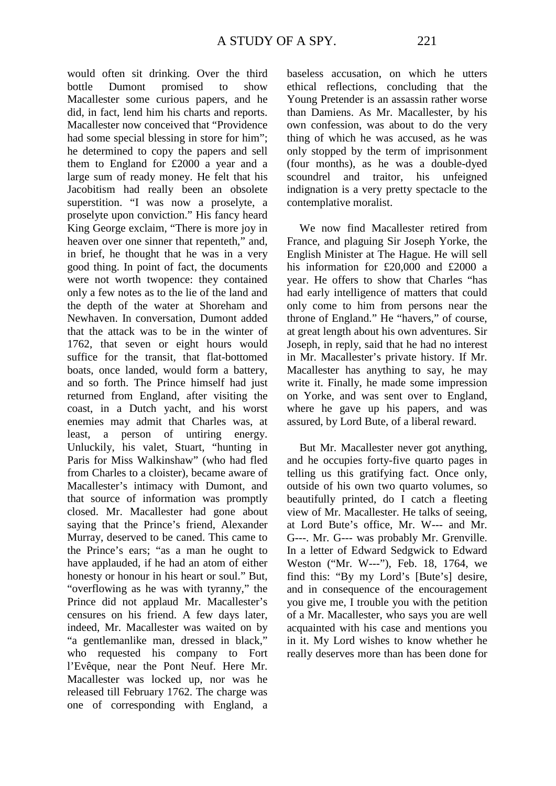would often sit drinking. Over the third bottle Dumont promised to show Macallester some curious papers, and he did, in fact, lend him his charts and reports. Macallester now conceived that "Providence had some special blessing in store for him"; he determined to copy the papers and sell them to England for £2000 a year and a large sum of ready money. He felt that his Jacobitism had really been an obsolete superstition. "I was now a proselyte, a proselyte upon conviction." His fancy heard King George exclaim, "There is more joy in heaven over one sinner that repenteth," and, in brief, he thought that he was in a very good thing. In point of fact, the documents were not worth twopence: they contained only a few notes as to the lie of the land and the depth of the water at Shoreham and Newhaven. In conversation, Dumont added that the attack was to be in the winter of 1762, that seven or eight hours would suffice for the transit, that flat-bottomed boats, once landed, would form a battery, and so forth. The Prince himself had just returned from England, after visiting the coast, in a Dutch yacht, and his worst enemies may admit that Charles was, at least, a person of untiring energy. Unluckily, his valet, Stuart, "hunting in Paris for Miss Walkinshaw" (who had fled from Charles to a cloister), became aware of Macallester's intimacy with Dumont, and that source of information was promptly closed. Mr. Macallester had gone about saying that the Prince's friend, Alexander Murray, deserved to be caned. This came to the Prince's ears; "as a man he ought to have applauded, if he had an atom of either honesty or honour in his heart or soul." But, "overflowing as he was with tyranny," the Prince did not applaud Mr. Macallester's censures on his friend. A few days later, indeed, Mr. Macallester was waited on by "a gentlemanlike man, dressed in black," who requested his company to Fort l'Evêque, near the Pont Neuf. Here Mr. Macallester was locked up, nor was he released till February 1762. The charge was one of corresponding with England, a

baseless accusation, on which he utters ethical reflections, concluding that the Young Pretender is an assassin rather worse than Damiens. As Mr. Macallester, by his own confession, was about to do the very thing of which he was accused, as he was only stopped by the term of imprisonment (four months), as he was a double-dyed scoundrel and traitor, his unfeigned indignation is a very pretty spectacle to the contemplative moralist.

We now find Macallester retired from France, and plaguing Sir Joseph Yorke, the English Minister at The Hague. He will sell his information for £20,000 and £2000 a year. He offers to show that Charles "has had early intelligence of matters that could only come to him from persons near the throne of England." He "havers," of course, at great length about his own adventures. Sir Joseph, in reply, said that he had no interest in Mr. Macallester's private history. If Mr. Macallester has anything to say, he may write it. Finally, he made some impression on Yorke, and was sent over to England, where he gave up his papers, and was assured, by Lord Bute, of a liberal reward.

But Mr. Macallester never got anything, and he occupies forty-five quarto pages in telling us this gratifying fact. Once only, outside of his own two quarto volumes, so beautifully printed, do I catch a fleeting view of Mr. Macallester. He talks of seeing, at Lord Bute's office, Mr. W--- and Mr. G---. Mr. G--- was probably Mr. Grenville. In a letter of Edward Sedgwick to Edward Weston ("Mr. W---"), Feb. 18, 1764, we find this: "By my Lord's [Bute's] desire, and in consequence of the encouragement you give me, I trouble you with the petition of a Mr. Macallester, who says you are well acquainted with his case and mentions you in it. My Lord wishes to know whether he really deserves more than has been done for